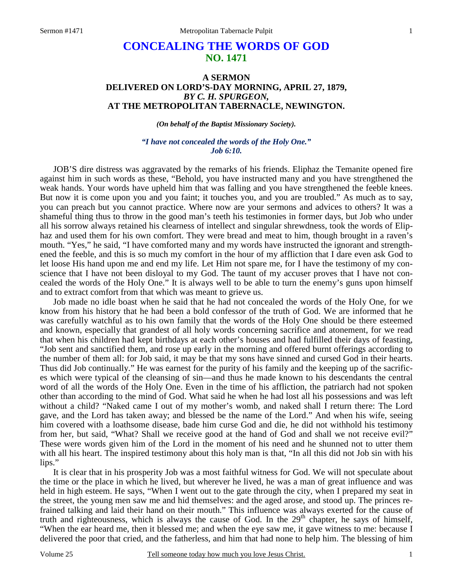# **CONCEALING THE WORDS OF GOD NO. 1471**

### **A SERMON DELIVERED ON LORD'S-DAY MORNING, APRIL 27, 1879,**  *BY C. H. SPURGEON,*  **AT THE METROPOLITAN TABERNACLE, NEWINGTON.**

#### *(On behalf of the Baptist Missionary Society).*

### *"I have not concealed the words of the Holy One." Job 6:10.*

JOB'S dire distress was aggravated by the remarks of his friends. Eliphaz the Temanite opened fire against him in such words as these, "Behold, you have instructed many and you have strengthened the weak hands. Your words have upheld him that was falling and you have strengthened the feeble knees. But now it is come upon you and you faint; it touches you, and you are troubled." As much as to say, you can preach but you cannot practice. Where now are your sermons and advices to others? It was a shameful thing thus to throw in the good man's teeth his testimonies in former days, but Job who under all his sorrow always retained his clearness of intellect and singular shrewdness, took the words of Eliphaz and used them for his own comfort. They were bread and meat to him, though brought in a raven's mouth. "Yes," he said, "I have comforted many and my words have instructed the ignorant and strengthened the feeble, and this is so much my comfort in the hour of my affliction that I dare even ask God to let loose His hand upon me and end my life. Let Him not spare me, for I have the testimony of my conscience that I have not been disloyal to my God. The taunt of my accuser proves that I have not concealed the words of the Holy One." It is always well to be able to turn the enemy's guns upon himself and to extract comfort from that which was meant to grieve us.

 Job made no idle boast when he said that he had not concealed the words of the Holy One, for we know from his history that he had been a bold confessor of the truth of God. We are informed that he was carefully watchful as to his own family that the words of the Holy One should be there esteemed and known, especially that grandest of all holy words concerning sacrifice and atonement, for we read that when his children had kept birthdays at each other's houses and had fulfilled their days of feasting, "Job sent and sanctified them, and rose up early in the morning and offered burnt offerings according to the number of them all: for Job said, it may be that my sons have sinned and cursed God in their hearts. Thus did Job continually." He was earnest for the purity of his family and the keeping up of the sacrifices which were typical of the cleansing of sin—and thus he made known to his descendants the central word of all the words of the Holy One. Even in the time of his affliction, the patriarch had not spoken other than according to the mind of God. What said he when he had lost all his possessions and was left without a child? "Naked came I out of my mother's womb, and naked shall I return there: The Lord gave, and the Lord has taken away; and blessed be the name of the Lord." And when his wife, seeing him covered with a loathsome disease, bade him curse God and die, he did not withhold his testimony from her, but said, "What? Shall we receive good at the hand of God and shall we not receive evil?" These were words given him of the Lord in the moment of his need and he shunned not to utter them with all his heart. The inspired testimony about this holy man is that, "In all this did not Job sin with his lips."

 It is clear that in his prosperity Job was a most faithful witness for God. We will not speculate about the time or the place in which he lived, but wherever he lived, he was a man of great influence and was held in high esteem. He says, "When I went out to the gate through the city, when I prepared my seat in the street, the young men saw me and hid themselves: and the aged arose, and stood up. The princes refrained talking and laid their hand on their mouth." This influence was always exerted for the cause of truth and righteousness, which is always the cause of God. In the  $29<sup>th</sup>$  chapter, he says of himself, "When the ear heard me, then it blessed me; and when the eye saw me, it gave witness to me: because I delivered the poor that cried, and the fatherless, and him that had none to help him. The blessing of him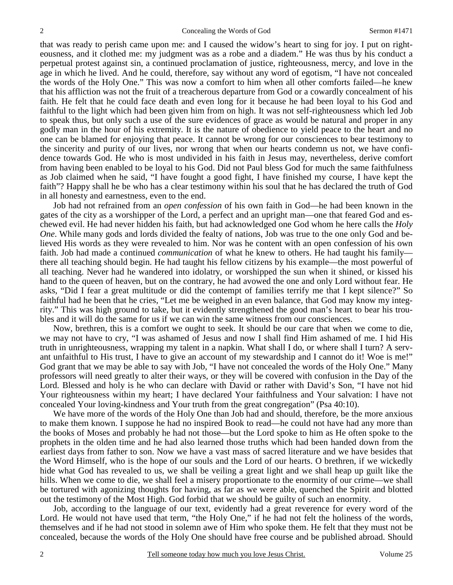that was ready to perish came upon me: and I caused the widow's heart to sing for joy. I put on righteousness, and it clothed me: my judgment was as a robe and a diadem." He was thus by his conduct a perpetual protest against sin, a continued proclamation of justice, righteousness, mercy, and love in the age in which he lived. And he could, therefore, say without any word of egotism, "I have not concealed the words of the Holy One." This was now a comfort to him when all other comforts failed—he knew that his affliction was not the fruit of a treacherous departure from God or a cowardly concealment of his faith. He felt that he could face death and even long for it because he had been loyal to his God and faithful to the light which had been given him from on high. It was not self-righteousness which led Job to speak thus, but only such a use of the sure evidences of grace as would be natural and proper in any godly man in the hour of his extremity. It is the nature of obedience to yield peace to the heart and no one can be blamed for enjoying that peace. It cannot be wrong for our consciences to bear testimony to the sincerity and purity of our lives, nor wrong that when our hearts condemn us not, we have confidence towards God. He who is most undivided in his faith in Jesus may, nevertheless, derive comfort from having been enabled to be loyal to his God. Did not Paul bless God for much the same faithfulness as Job claimed when he said, "I have fought a good fight, I have finished my course, I have kept the faith"? Happy shall he be who has a clear testimony within his soul that he has declared the truth of God in all honesty and earnestness, even to the end.

 Job had not refrained from an *open confession* of his own faith in God—he had been known in the gates of the city as a worshipper of the Lord, a perfect and an upright man—one that feared God and eschewed evil. He had never hidden his faith, but had acknowledged one God whom he here calls the *Holy One*. While many gods and lords divided the fealty of nations, Job was true to the one only God and believed His words as they were revealed to him. Nor was he content with an open confession of his own faith. Job had made a continued *communication* of what he knew to others. He had taught his family there all teaching should begin. He had taught his fellow citizens by his example—the most powerful of all teaching. Never had he wandered into idolatry, or worshipped the sun when it shined, or kissed his hand to the queen of heaven, but on the contrary, he had avowed the one and only Lord without fear. He asks, "Did I fear a great multitude or did the contempt of families terrify me that I kept silence?" So faithful had he been that he cries, "Let me be weighed in an even balance, that God may know my integrity." This was high ground to take, but it evidently strengthened the good man's heart to bear his troubles and it will do the same for us if we can win the same witness from our consciences.

 Now, brethren, this is a comfort we ought to seek. It should be our care that when we come to die, we may not have to cry, "I was ashamed of Jesus and now I shall find Him ashamed of me. I hid His truth in unrighteousness, wrapping my talent in a napkin. What shall I do, or where shall I turn? A servant unfaithful to His trust, I have to give an account of my stewardship and I cannot do it! Woe is me!" God grant that we may be able to say with Job, "I have not concealed the words of the Holy One." Many professors will need greatly to alter their ways, or they will be covered with confusion in the Day of the Lord. Blessed and holy is he who can declare with David or rather with David's Son, "I have not hid Your righteousness within my heart; I have declared Your faithfulness and Your salvation: I have not concealed Your loving-kindness and Your truth from the great congregation" (Psa 40:10).

 We have more of the words of the Holy One than Job had and should, therefore, be the more anxious to make them known. I suppose he had no inspired Book to read—he could not have had any more than the books of Moses and probably he had not those—but the Lord spoke to him as He often spoke to the prophets in the olden time and he had also learned those truths which had been handed down from the earliest days from father to son. Now we have a vast mass of sacred literature and we have besides that the Word Himself, who is the hope of our souls and the Lord of our hearts. O brethren, if we wickedly hide what God has revealed to us, we shall be veiling a great light and we shall heap up guilt like the hills. When we come to die, we shall feel a misery proportionate to the enormity of our crime—we shall be tortured with agonizing thoughts for having, as far as we were able, quenched the Spirit and blotted out the testimony of the Most High. God forbid that we should be guilty of such an enormity.

 Job, according to the language of our text, evidently had a great reverence for every word of the Lord. He would not have used that term, "the Holy One," if he had not felt the holiness of the words, themselves and if he had not stood in solemn awe of Him who spoke them. He felt that they must not be concealed, because the words of the Holy One should have free course and be published abroad. Should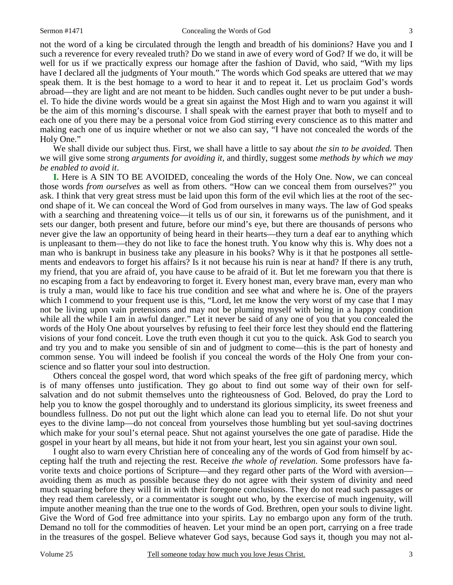not the word of a king be circulated through the length and breadth of his dominions? Have you and I such a reverence for every revealed truth? Do we stand in awe of every word of God? If we do, it will be well for us if we practically express our homage after the fashion of David, who said, "With my lips have I declared all the judgments of Your mouth." The words which God speaks are uttered that *we* may speak them. It is the best homage to a word to hear it and to repeat it. Let us proclaim God's words abroad—they are light and are not meant to be hidden. Such candles ought never to be put under a bushel. To hide the divine words would be a great sin against the Most High and to warn you against it will be the aim of this morning's discourse. I shall speak with the earnest prayer that both to myself and to each one of you there may be a personal voice from God stirring every conscience as to this matter and making each one of us inquire whether or not we also can say, "I have not concealed the words of the Holy One."

 We shall divide our subject thus. First, we shall have a little to say about *the sin to be avoided.* Then we will give some strong *arguments for avoiding it,* and thirdly, suggest some *methods by which we may be enabled to avoid it*.

**I.** Here is A SIN TO BE AVOIDED, concealing the words of the Holy One. Now, we can conceal those words *from ourselves* as well as from others. "How can we conceal them from ourselves?" you ask. I think that very great stress must be laid upon this form of the evil which lies at the root of the second shape of it. We can conceal the Word of God from ourselves in many ways. The law of God speaks with a searching and threatening voice—it tells us of our sin, it forewarns us of the punishment, and it sets our danger, both present and future, before our mind's eye, but there are thousands of persons who never give the law an opportunity of being heard in their hearts—they turn a deaf ear to anything which is unpleasant to them—they do not like to face the honest truth. You know why this is. Why does not a man who is bankrupt in business take any pleasure in his books? Why is it that he postpones all settlements and endeavors to forget his affairs? Is it not because his ruin is near at hand? If there is any truth, my friend, that you are afraid of, you have cause to be afraid of it. But let me forewarn you that there is no escaping from a fact by endeavoring to forget it. Every honest man, every brave man, every man who is truly a man, would like to face his true condition and see what and where he is. One of the prayers which I commend to your frequent use is this, "Lord, let me know the very worst of my case that I may not be living upon vain pretensions and may not be pluming myself with being in a happy condition while all the while I am in awful danger." Let it never be said of any one of you that you concealed the words of the Holy One about yourselves by refusing to feel their force lest they should end the flattering visions of your fond conceit. Love the truth even though it cut you to the quick. Ask God to search you and try you and to make you sensible of sin and of judgment to come—this is the part of honesty and common sense. You will indeed be foolish if you conceal the words of the Holy One from your conscience and so flatter your soul into destruction.

 Others conceal the gospel word, that word which speaks of the free gift of pardoning mercy, which is of many offenses unto justification. They go about to find out some way of their own for selfsalvation and do not submit themselves unto the righteousness of God. Beloved, do pray the Lord to help you to know the gospel thoroughly and to understand its glorious simplicity, its sweet freeness and boundless fullness. Do not put out the light which alone can lead you to eternal life. Do not shut your eyes to the divine lamp—do not conceal from yourselves those humbling but yet soul-saving doctrines which make for your soul's eternal peace. Shut not against yourselves the one gate of paradise. Hide the gospel in your heart by all means, but hide it not from your heart, lest you sin against your own soul.

 I ought also to warn every Christian here of concealing any of the words of God from himself by accepting half the truth and rejecting the rest. Receive *the whole of revelation*. Some professors have favorite texts and choice portions of Scripture—and they regard other parts of the Word with aversion avoiding them as much as possible because they do not agree with their system of divinity and need much squaring before they will fit in with their foregone conclusions. They do not read such passages or they read them carelessly, or a commentator is sought out who, by the exercise of much ingenuity, will impute another meaning than the true one to the words of God. Brethren, open your souls to divine light. Give the Word of God free admittance into your spirits. Lay no embargo upon any form of the truth. Demand no toll for the commodities of heaven. Let your mind be an open port, carrying on a free trade in the treasures of the gospel. Believe whatever God says, because God says it, though you may not al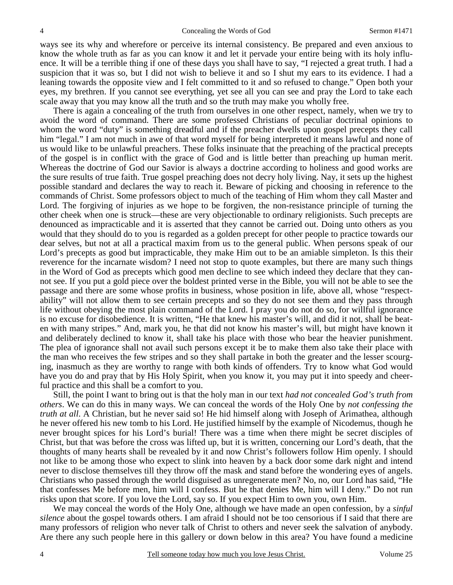ways see its why and wherefore or perceive its internal consistency. Be prepared and even anxious to know the whole truth as far as you can know it and let it pervade your entire being with its holy influence. It will be a terrible thing if one of these days you shall have to say, "I rejected a great truth. I had a suspicion that it was so, but I did not wish to believe it and so I shut my ears to its evidence. I had a leaning towards the opposite view and I felt committed to it and so refused to change." Open both your eyes, my brethren. If you cannot see everything, yet see all you can see and pray the Lord to take each scale away that you may know all the truth and so the truth may make you wholly free.

 There is again a concealing of the truth from ourselves in one other respect, namely, when we try to avoid the word of command. There are some professed Christians of peculiar doctrinal opinions to whom the word "duty" is something dreadful and if the preacher dwells upon gospel precepts they call him "legal." I am not much in awe of that word myself for being interpreted it means lawful and none of us would like to be unlawful preachers. These folks insinuate that the preaching of the practical precepts of the gospel is in conflict with the grace of God and is little better than preaching up human merit. Whereas the doctrine of God our Savior is always a doctrine according to holiness and good works are the sure results of true faith. True gospel preaching does not decry holy living. Nay, it sets up the highest possible standard and declares the way to reach it. Beware of picking and choosing in reference to the commands of Christ. Some professors object to much of the teaching of Him whom they call Master and Lord. The forgiving of injuries as we hope to be forgiven, the non-resistance principle of turning the other cheek when one is struck—these are very objectionable to ordinary religionists. Such precepts are denounced as impracticable and it is asserted that they cannot be carried out. Doing unto others as you would that they should do to you is regarded as a golden precept for other people to practice towards our dear selves, but not at all a practical maxim from us to the general public. When persons speak of our Lord's precepts as good but impracticable, they make Him out to be an amiable simpleton. Is this their reverence for the incarnate wisdom? I need not stop to quote examples, but there are many such things in the Word of God as precepts which good men decline to see which indeed they declare that they cannot see. If you put a gold piece over the boldest printed verse in the Bible, you will not be able to see the passage and there are some whose profits in business, whose position in life, above all, whose "respectability" will not allow them to see certain precepts and so they do not see them and they pass through life without obeying the most plain command of the Lord. I pray you do not do so, for willful ignorance is no excuse for disobedience. It is written, "He that knew his master's will, and did it not, shall be beaten with many stripes." And, mark you, he that did not know his master's will, but might have known it and deliberately declined to know it, shall take his place with those who bear the heavier punishment. The plea of ignorance shall not avail such persons except it be to make them also take their place with the man who receives the few stripes and so they shall partake in both the greater and the lesser scourging, inasmuch as they are worthy to range with both kinds of offenders. Try to know what God would have you do and pray that by His Holy Spirit, when you know it, you may put it into speedy and cheerful practice and this shall be a comfort to you.

 Still, the point I want to bring out is that the holy man in our text *had not concealed God's truth from others*. We can do this in many ways. We can conceal the words of the Holy One by *not confessing the truth at all.* A Christian, but he never said so! He hid himself along with Joseph of Arimathea, although he never offered his new tomb to his Lord. He justified himself by the example of Nicodemus, though he never brought spices for his Lord's burial! There was a time when there might be secret disciples of Christ, but that was before the cross was lifted up, but it is written, concerning our Lord's death, that the thoughts of many hearts shall be revealed by it and now Christ's followers follow Him openly. I should not like to be among those who expect to slink into heaven by a back door some dark night and intend never to disclose themselves till they throw off the mask and stand before the wondering eyes of angels. Christians who passed through the world disguised as unregenerate men? No, no, our Lord has said, "He that confesses Me before men, him will I confess. But he that denies Me, him will I deny." Do not run risks upon that score. If you love the Lord, say so. If you expect Him to own you, own Him.

 We may conceal the words of the Holy One, although we have made an open confession, by a *sinful silence* about the gospel towards others. I am afraid I should not be too censorious if I said that there are many professors of religion who never talk of Christ to others and never seek the salvation of anybody. Are there any such people here in this gallery or down below in this area? You have found a medicine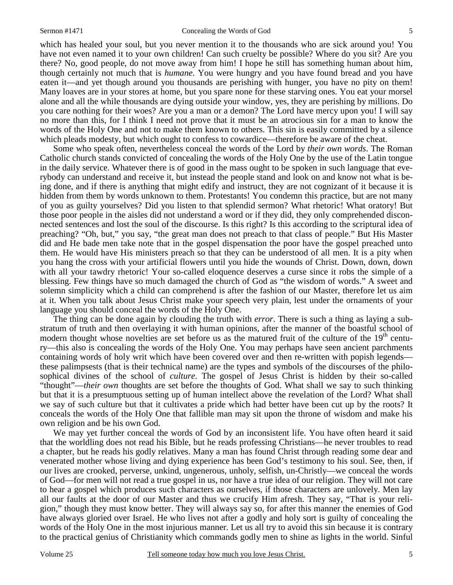which has healed your soul, but you never mention it to the thousands who are sick around you! You have not even named it to your own children! Can such cruelty be possible? Where do you sit? Are you there? No, good people, do not move away from him! I hope he still has something human about him, though certainly not much that is *humane*. You were hungry and you have found bread and you have eaten it—and yet though around you thousands are perishing with hunger, you have no pity on them! Many loaves are in your stores at home, but you spare none for these starving ones. You eat your morsel alone and all the while thousands are dying outside your window, yes, they are perishing by millions. Do you care nothing for their woes? Are you a man or a demon? The Lord have mercy upon you! I will say no more than this, for I think I need not prove that it must be an atrocious sin for a man to know the words of the Holy One and not to make them known to others. This sin is easily committed by a silence which pleads modesty, but which ought to confess to cowardice—therefore be aware of the cheat.

 Some who speak often, nevertheless conceal the words of the Lord by *their own words*. The Roman Catholic church stands convicted of concealing the words of the Holy One by the use of the Latin tongue in the daily service. Whatever there is of good in the mass ought to be spoken in such language that everybody can understand and receive it, but instead the people stand and look on and know not what is being done, and if there is anything that might edify and instruct, they are not cognizant of it because it is hidden from them by words unknown to them. Protestants! You condemn this practice, but are not many of you as guilty yourselves? Did you listen to that splendid sermon? What rhetoric! What oratory! But those poor people in the aisles did not understand a word or if they did, they only comprehended disconnected sentences and lost the soul of the discourse. Is this right? Is this according to the scriptural idea of preaching? "Oh, but," you say, "the great man does not preach to that class of people." But His Master did and He bade men take note that in the gospel dispensation the poor have the gospel preached unto them. He would have His ministers preach so that they can be understood of all men. It is a pity when you hang the cross with your artificial flowers until you hide the wounds of Christ. Down, down, down with all your tawdry rhetoric! Your so-called eloquence deserves a curse since it robs the simple of a blessing. Few things have so much damaged the church of God as "the wisdom of words." A sweet and solemn simplicity which a child can comprehend is after the fashion of our Master, therefore let us aim at it. When you talk about Jesus Christ make your speech very plain, lest under the ornaments of your language you should conceal the words of the Holy One.

 The thing can be done again by clouding the truth with *error*. There is such a thing as laying a substratum of truth and then overlaying it with human opinions, after the manner of the boastful school of modern thought whose novelties are set before us as the matured fruit of the culture of the  $19<sup>th</sup>$  century—this also is concealing the words of the Holy One. You may perhaps have seen ancient parchments containing words of holy writ which have been covered over and then re-written with popish legends these palimpsests (that is their technical name) are the types and symbols of the discourses of the philosophical divines of the school of *culture*. The gospel of Jesus Christ is hidden by their so-called "thought"—*their own* thoughts are set before the thoughts of God. What shall we say to such thinking but that it is a presumptuous setting up of human intellect above the revelation of the Lord? What shall we say of such culture but that it cultivates a pride which had better have been cut up by the roots? It conceals the words of the Holy One that fallible man may sit upon the throne of wisdom and make his own religion and be his own God.

 We may yet further conceal the words of God by an inconsistent life. You have often heard it said that the worldling does not read his Bible, but he reads professing Christians—he never troubles to read a chapter, but he reads his godly relatives. Many a man has found Christ through reading some dear and venerated mother whose living and dying experience has been God's testimony to his soul. See, then, if our lives are crooked, perverse, unkind, ungenerous, unholy, selfish, un-Christly—we conceal the words of God—for men will not read a true gospel in us, nor have a true idea of our religion. They will not care to hear a gospel which produces such characters as ourselves, if those characters are unlovely. Men lay all our faults at the door of our Master and thus we crucify Him afresh. They say, "That is your religion," though they must know better. They will always say so, for after this manner the enemies of God have always gloried over Israel. He who lives not after a godly and holy sort is guilty of concealing the words of the Holy One in the most injurious manner. Let us all try to avoid this sin because it is contrary to the practical genius of Christianity which commands godly men to shine as lights in the world. Sinful

5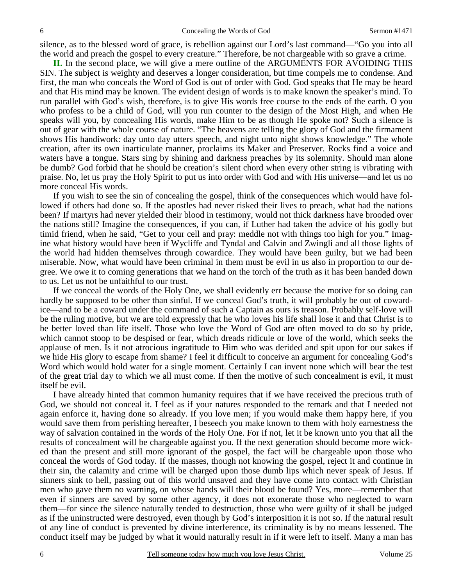silence, as to the blessed word of grace, is rebellion against our Lord's last command—"Go you into all the world and preach the gospel to every creature." Therefore, be not chargeable with so grave a crime.

**II.** In the second place, we will give a mere outline of the ARGUMENTS FOR AVOIDING THIS SIN. The subject is weighty and deserves a longer consideration, but time compels me to condense. And first, the man who conceals the Word of God is out of order with God. God speaks that He may be heard and that His mind may be known. The evident design of words is to make known the speaker's mind. To run parallel with God's wish, therefore, is to give His words free course to the ends of the earth. O you who profess to be a child of God, will you run counter to the design of the Most High, and when He speaks will you, by concealing His words, make Him to be as though He spoke not? Such a silence is out of gear with the whole course of nature. "The heavens are telling the glory of God and the firmament shows His handiwork: day unto day utters speech, and night unto night shows knowledge." The whole creation, after its own inarticulate manner, proclaims its Maker and Preserver. Rocks find a voice and waters have a tongue. Stars sing by shining and darkness preaches by its solemnity. Should man alone be dumb? God forbid that he should be creation's silent chord when every other string is vibrating with praise. No, let us pray the Holy Spirit to put us into order with God and with His universe—and let us no more conceal His words.

 If you wish to see the sin of concealing the gospel, think of the consequences which would have followed if others had done so. If the apostles had never risked their lives to preach, what had the nations been? If martyrs had never yielded their blood in testimony, would not thick darkness have brooded over the nations still? Imagine the consequences, if you can, if Luther had taken the advice of his godly but timid friend, when he said, "Get to your cell and pray: meddle not with things too high for you." Imagine what history would have been if Wycliffe and Tyndal and Calvin and Zwingli and all those lights of the world had hidden themselves through cowardice. They would have been guilty, but we had been miserable. Now, what would have been criminal in them must be evil in us also in proportion to our degree. We owe it to coming generations that we hand on the torch of the truth as it has been handed down to us. Let us not be unfaithful to our trust.

 If we conceal the words of the Holy One, we shall evidently err because the motive for so doing can hardly be supposed to be other than sinful. If we conceal God's truth, it will probably be out of cowardice—and to be a coward under the command of such a Captain as ours is treason. Probably self-love will be the ruling motive, but we are told expressly that he who loves his life shall lose it and that Christ is to be better loved than life itself. Those who love the Word of God are often moved to do so by pride, which cannot stoop to be despised or fear, which dreads ridicule or love of the world, which seeks the applause of men. Is it not atrocious ingratitude to Him who was derided and spit upon for our sakes if we hide His glory to escape from shame? I feel it difficult to conceive an argument for concealing God's Word which would hold water for a single moment. Certainly I can invent none which will bear the test of the great trial day to which we all must come. If then the motive of such concealment is evil, it must itself be evil.

 I have already hinted that common humanity requires that if we have received the precious truth of God, we should not conceal it. I feel as if your natures responded to the remark and that I needed not again enforce it, having done so already. If you love men; if you would make them happy here, if you would save them from perishing hereafter, I beseech you make known to them with holy earnestness the way of salvation contained in the words of the Holy One. For if not, let it be known unto you that all the results of concealment will be chargeable against you. If the next generation should become more wicked than the present and still more ignorant of the gospel, the fact will be chargeable upon those who conceal the words of God today. If the masses, though not knowing the gospel, reject it and continue in their sin, the calamity and crime will be charged upon those dumb lips which never speak of Jesus. If sinners sink to hell, passing out of this world unsaved and they have come into contact with Christian men who gave them no warning, on whose hands will their blood be found? Yes, more—remember that even if sinners are saved by some other agency, it does not exonerate those who neglected to warn them—for since the silence naturally tended to destruction, those who were guilty of it shall be judged as if the uninstructed were destroyed, even though by God's interposition it is not so. If the natural result of any line of conduct is prevented by divine interference, its criminality is by no means lessened. The conduct itself may be judged by what it would naturally result in if it were left to itself. Many a man has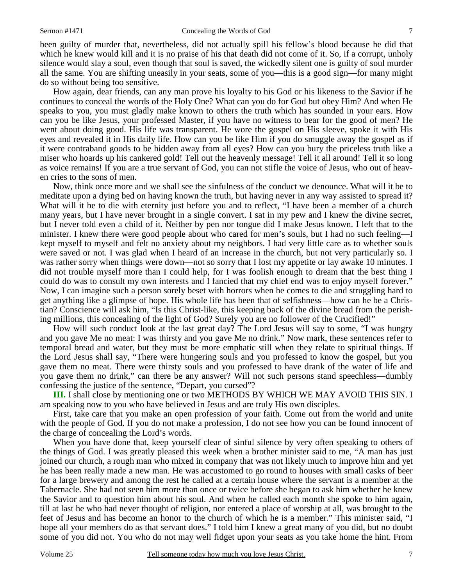7

been guilty of murder that, nevertheless, did not actually spill his fellow's blood because he did that which he knew would kill and it is no praise of his that death did not come of it. So, if a corrupt, unholy silence would slay a soul, even though that soul is saved, the wickedly silent one is guilty of soul murder all the same. You are shifting uneasily in your seats, some of you—this is a good sign—for many might do so without being too sensitive.

 How again, dear friends, can any man prove his loyalty to his God or his likeness to the Savior if he continues to conceal the words of the Holy One? What can you do for God but obey Him? And when He speaks to you, you must gladly make known to others the truth which has sounded in your ears. How can you be like Jesus, your professed Master, if you have no witness to bear for the good of men? He went about doing good. His life was transparent. He wore the gospel on His sleeve, spoke it with His eyes and revealed it in His daily life. How can you be like Him if you do smuggle away the gospel as if it were contraband goods to be hidden away from all eyes? How can you bury the priceless truth like a miser who hoards up his cankered gold! Tell out the heavenly message! Tell it all around! Tell it so long as voice remains! If you are a true servant of God, you can not stifle the voice of Jesus, who out of heaven cries to the sons of men.

 Now, think once more and we shall see the sinfulness of the conduct we denounce. What will it be to meditate upon a dying bed on having known the truth, but having never in any way assisted to spread it? What will it be to die with eternity just before you and to reflect, "I have been a member of a church many years, but I have never brought in a single convert. I sat in my pew and I knew the divine secret, but I never told even a child of it. Neither by pen nor tongue did I make Jesus known. I left that to the minister. I knew there were good people about who cared for men's souls, but I had no such feeling—I kept myself to myself and felt no anxiety about my neighbors. I had very little care as to whether souls were saved or not. I was glad when I heard of an increase in the church, but not very particularly so. I was rather sorry when things were down—not so sorry that I lost my appetite or lay awake 10 minutes. I did not trouble myself more than I could help, for I was foolish enough to dream that the best thing I could do was to consult my own interests and I fancied that my chief end was to enjoy myself forever." Now, I can imagine such a person sorely beset with horrors when he comes to die and struggling hard to get anything like a glimpse of hope. His whole life has been that of selfishness—how can he be a Christian? Conscience will ask him, "Is this Christ-like, this keeping back of the divine bread from the perishing millions, this concealing of the light of God? Surely you are no follower of the Crucified!"

 How will such conduct look at the last great day? The Lord Jesus will say to some, "I was hungry and you gave Me no meat: I was thirsty and you gave Me no drink." Now mark, these sentences refer to temporal bread and water, but they must be more emphatic still when they relate to spiritual things. If the Lord Jesus shall say, "There were hungering souls and you professed to know the gospel, but you gave them no meat. There were thirsty souls and you professed to have drank of the water of life and you gave them no drink," can there be any answer? Will not such persons stand speechless—dumbly confessing the justice of the sentence, "Depart, you cursed"?

**III.** I shall close by mentioning one or two METHODS BY WHICH WE MAY AVOID THIS SIN. I am speaking now to you who have believed in Jesus and are truly His own disciples.

 First, take care that you make an open profession of your faith. Come out from the world and unite with the people of God. If you do not make a profession, I do not see how you can be found innocent of the charge of concealing the Lord's words.

 When you have done that, keep yourself clear of sinful silence by very often speaking to others of the things of God. I was greatly pleased this week when a brother minister said to me, "A man has just joined our church, a rough man who mixed in company that was not likely much to improve him and yet he has been really made a new man. He was accustomed to go round to houses with small casks of beer for a large brewery and among the rest he called at a certain house where the servant is a member at the Tabernacle. She had not seen him more than once or twice before she began to ask him whether he knew the Savior and to question him about his soul. And when he called each month she spoke to him again, till at last he who had never thought of religion, nor entered a place of worship at all, was brought to the feet of Jesus and has become an honor to the church of which he is a member." This minister said, "I hope all your members do as that servant does." I told him I knew a great many of you did, but no doubt some of you did not. You who do not may well fidget upon your seats as you take home the hint. From